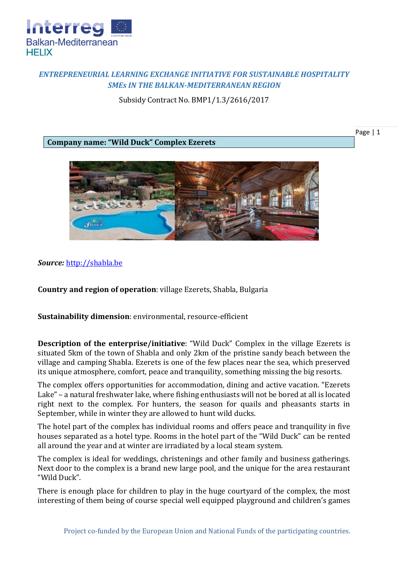

## *ENTREPRENEURIAL LEARNING EXCHANGE INITIATIVE FOR SUSTAINABLE HOSPITALITY SMEs IN THE BALKAN-MEDITERRANEAN REGION*

Subsidy Contract No. BMP1/1.3/2616/2017

**Company name: "Wild Duck" Complex Ezerets**

Page | 1



*Source:* [http://shabla.be](http://shabla.be/)

**Country and region of operation**: village Ezerets, Shabla, Bulgaria

**Sustainability dimension**: environmental, resource-efficient

**Description of the enterprise/initiative**: "Wild Duck" Complex in the village Ezerets is situated 5km of the town of Shabla and only 2km of the pristine sandy beach between the village and camping Shabla. Ezerets is one of the few places near the sea, which preserved its unique atmosphere, comfort, peace and tranquility, something missing the big resorts.

The complex offers opportunities for accommodation, dining and active vacation. "Ezerets Lake" – a natural freshwater lake, where fishing enthusiasts will not be bored at all is located right next to the complex. For hunters, the season for quails and pheasants starts in September, while in winter they are allowed to hunt wild ducks.

The hotel part of the complex has individual rooms and offers peace and tranquility in five houses separated as a hotel type. Rooms in the hotel part of the "Wild Duck" can be rented all around the year and at winter are irradiated by a local steam system.

The complex is ideal for weddings, christenings and other family and business gatherings. Next door to the complex is a brand new large pool, and the unique for the area restaurant "Wild Duck".

There is enough place for children to play in the huge courtyard of the complex, the most interesting of them being of course special well equipped playground and children's games